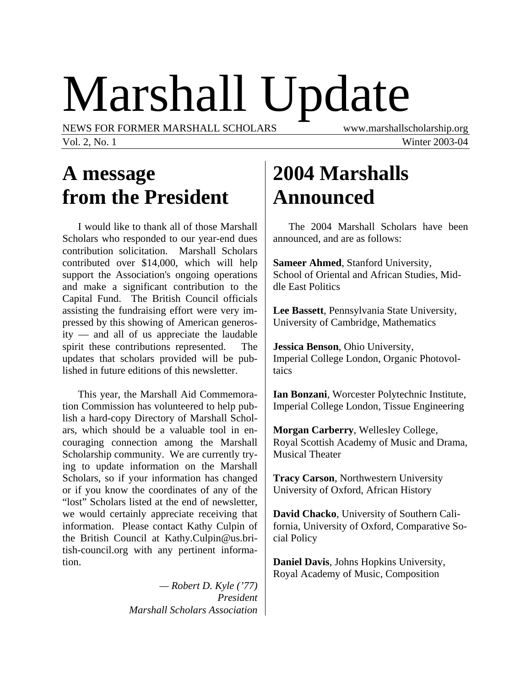# Marshall Update

NEWS FOR FORMER MARSHALL SCHOLARS www.marshallscholarship.org Vol. 2, No. 1 Winter 2003-04

### **A message from the President**

I would like to thank all of those Marshall Scholars who responded to our year-end dues contribution solicitation. Marshall Scholars contributed over \$14,000, which will help support the Association's ongoing operations and make a significant contribution to the Capital Fund. The British Council officials assisting the fundraising effort were very impressed by this showing of American generosity — and all of us appreciate the laudable spirit these contributions represented. The updates that scholars provided will be published in future editions of this newsletter.

This year, the Marshall Aid Commemoration Commission has volunteered to help publish a hard-copy Directory of Marshall Scholars, which should be a valuable tool in encouraging connection among the Marshall Scholarship community. We are currently trying to update information on the Marshall Scholars, so if your information has changed or if you know the coordinates of any of the "lost" Scholars listed at the end of newsletter, we would certainly appreciate receiving that information. Please contact Kathy Culpin of the British Council at Kathy.Culpin@us.british-council.org with any pertinent information.

> *— Robert D. Kyle ('77) President Marshall Scholars Association*

# **2004 Marshalls Announced**

The 2004 Marshall Scholars have been announced, and are as follows:

**Sameer Ahmed**, Stanford University, School of Oriental and African Studies, Middle East Politics

**Lee Bassett**, Pennsylvania State University, University of Cambridge, Mathematics

**Jessica Benson**, Ohio University, Imperial College London, Organic Photovoltaics

**Ian Bonzani**, Worcester Polytechnic Institute, Imperial College London, Tissue Engineering

**Morgan Carberry**, Wellesley College, Royal Scottish Academy of Music and Drama, Musical Theater

**Tracy Carson**, Northwestern University University of Oxford, African History

**David Chacko**, University of Southern California, University of Oxford, Comparative Social Policy

**Daniel Davis**, Johns Hopkins University, Royal Academy of Music, Composition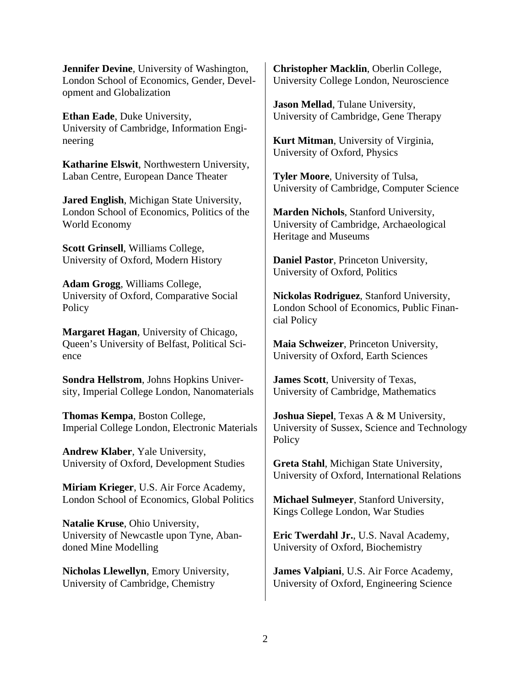**Jennifer Devine**, University of Washington, London School of Economics, Gender, Development and Globalization

**Ethan Eade**, Duke University, University of Cambridge, Information Engineering

**Katharine Elswit**, Northwestern University, Laban Centre, European Dance Theater

**Jared English**, Michigan State University, London School of Economics, Politics of the World Economy

**Scott Grinsell**, Williams College, University of Oxford, Modern History

**Adam Grogg**, Williams College, University of Oxford, Comparative Social **Policy** 

**Margaret Hagan**, University of Chicago, Queen's University of Belfast, Political Science

**Sondra Hellstrom**, Johns Hopkins University, Imperial College London, Nanomaterials

**Thomas Kempa**, Boston College, Imperial College London, Electronic Materials

**Andrew Klaber**, Yale University, University of Oxford, Development Studies

**Miriam Krieger**, U.S. Air Force Academy, London School of Economics, Global Politics

**Natalie Kruse**, Ohio University, University of Newcastle upon Tyne, Abandoned Mine Modelling

**Nicholas Llewellyn**, Emory University, University of Cambridge, Chemistry

**Christopher Macklin**, Oberlin College, University College London, Neuroscience

**Jason Mellad**, Tulane University, University of Cambridge, Gene Therapy

**Kurt Mitman**, University of Virginia, University of Oxford, Physics

**Tyler Moore**, University of Tulsa, University of Cambridge, Computer Science

**Marden Nichols**, Stanford University, University of Cambridge, Archaeological Heritage and Museums

**Daniel Pastor**, Princeton University, University of Oxford, Politics

**Nickolas Rodriguez**, Stanford University, London School of Economics, Public Financial Policy

**Maia Schweizer**, Princeton University, University of Oxford, Earth Sciences

**James Scott**, University of Texas, University of Cambridge, Mathematics

**Joshua Siepel**, Texas A & M University, University of Sussex, Science and Technology **Policy** 

**Greta Stahl**, Michigan State University, University of Oxford, International Relations

**Michael Sulmeyer**, Stanford University, Kings College London, War Studies

**Eric Twerdahl Jr.**, U.S. Naval Academy, University of Oxford, Biochemistry

**James Valpiani**, U.S. Air Force Academy, University of Oxford, Engineering Science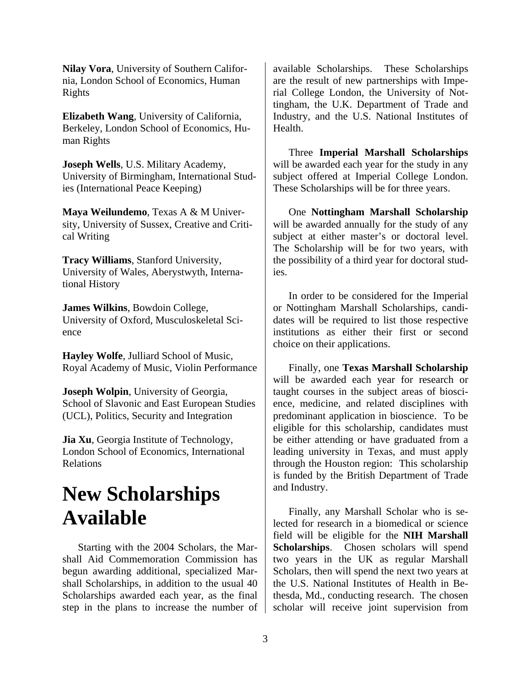**Nilay Vora**, University of Southern California, London School of Economics, Human Rights

**Elizabeth Wang**, University of California, Berkeley, London School of Economics, Human Rights

**Joseph Wells**, U.S. Military Academy, University of Birmingham, International Studies (International Peace Keeping)

**Maya Weilundemo**, Texas A & M University, University of Sussex, Creative and Critical Writing

**Tracy Williams**, Stanford University, University of Wales, Aberystwyth, International History

**James Wilkins**, Bowdoin College, University of Oxford, Musculoskeletal Science

**Hayley Wolfe**, Julliard School of Music, Royal Academy of Music, Violin Performance

**Joseph Wolpin**, University of Georgia, School of Slavonic and East European Studies (UCL), Politics, Security and Integration

**Jia Xu**, Georgia Institute of Technology, London School of Economics, International Relations

### **New Scholarships Available**

Starting with the 2004 Scholars, the Marshall Aid Commemoration Commission has begun awarding additional, specialized Marshall Scholarships, in addition to the usual 40 Scholarships awarded each year, as the final step in the plans to increase the number of available Scholarships. These Scholarships are the result of new partnerships with Imperial College London, the University of Nottingham, the U.K. Department of Trade and Industry, and the U.S. National Institutes of Health.

Three **Imperial Marshall Scholarships** will be awarded each year for the study in any subject offered at Imperial College London. These Scholarships will be for three years.

One **Nottingham Marshall Scholarship**  will be awarded annually for the study of any subject at either master's or doctoral level. The Scholarship will be for two years, with the possibility of a third year for doctoral studies.

In order to be considered for the Imperial or Nottingham Marshall Scholarships, candidates will be required to list those respective institutions as either their first or second choice on their applications.

Finally, one **Texas Marshall Scholarship** will be awarded each year for research or taught courses in the subject areas of bioscience, medicine, and related disciplines with predominant application in bioscience. To be eligible for this scholarship, candidates must be either attending or have graduated from a leading university in Texas, and must apply through the Houston region: This scholarship is funded by the British Department of Trade and Industry.

Finally, any Marshall Scholar who is selected for research in a biomedical or science field will be eligible for the **NIH Marshall Scholarships**. Chosen scholars will spend two years in the UK as regular Marshall Scholars, then will spend the next two years at the U.S. National Institutes of Health in Bethesda, Md., conducting research. The chosen scholar will receive joint supervision from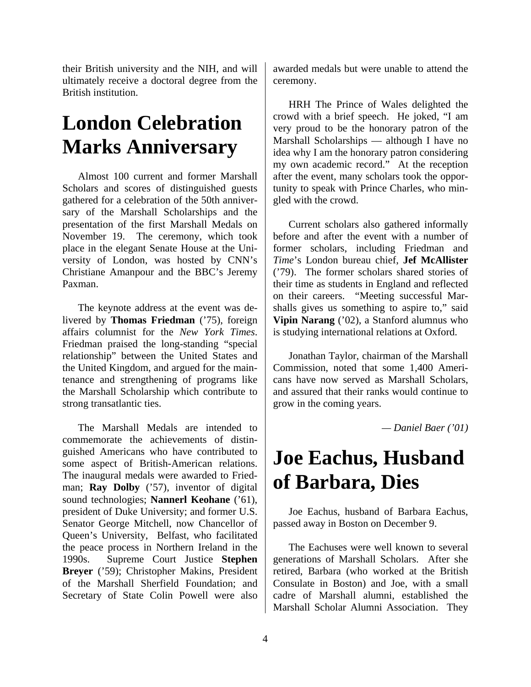their British university and the NIH, and will ultimately receive a doctoral degree from the British institution.

# **London Celebration Marks Anniversary**

Almost 100 current and former Marshall Scholars and scores of distinguished guests gathered for a celebration of the 50th anniversary of the Marshall Scholarships and the presentation of the first Marshall Medals on November 19. The ceremony, which took place in the elegant Senate House at the University of London, was hosted by CNN's Christiane Amanpour and the BBC's Jeremy Paxman.

The keynote address at the event was delivered by **Thomas Friedman** ('75), foreign affairs columnist for the *New York Times*. Friedman praised the long-standing "special relationship" between the United States and the United Kingdom, and argued for the maintenance and strengthening of programs like the Marshall Scholarship which contribute to strong transatlantic ties.

The Marshall Medals are intended to commemorate the achievements of distinguished Americans who have contributed to some aspect of British-American relations. The inaugural medals were awarded to Friedman; **Ray Dolby** ('57), inventor of digital sound technologies; **Nannerl Keohane** ('61), president of Duke University; and former U.S. Senator George Mitchell, now Chancellor of Queen's University, Belfast, who facilitated the peace process in Northern Ireland in the 1990s. Supreme Court Justice **Stephen Breyer** ('59); Christopher Makins, President of the Marshall Sherfield Foundation; and Secretary of State Colin Powell were also awarded medals but were unable to attend the ceremony.

HRH The Prince of Wales delighted the crowd with a brief speech. He joked, "I am very proud to be the honorary patron of the Marshall Scholarships — although I have no idea why I am the honorary patron considering my own academic record." At the reception after the event, many scholars took the opportunity to speak with Prince Charles, who mingled with the crowd.

Current scholars also gathered informally before and after the event with a number of former scholars, including Friedman and *Time*'s London bureau chief, **Jef McAllister** ('79). The former scholars shared stories of their time as students in England and reflected on their careers. "Meeting successful Marshalls gives us something to aspire to," said **Vipin Narang** ('02), a Stanford alumnus who is studying international relations at Oxford.

Jonathan Taylor, chairman of the Marshall Commission, noted that some 1,400 Americans have now served as Marshall Scholars, and assured that their ranks would continue to grow in the coming years.

*— Daniel Baer ('01)* 

# **Joe Eachus, Husband of Barbara, Dies**

Joe Eachus, husband of Barbara Eachus, passed away in Boston on December 9.

The Eachuses were well known to several generations of Marshall Scholars. After she retired, Barbara (who worked at the British Consulate in Boston) and Joe, with a small cadre of Marshall alumni, established the Marshall Scholar Alumni Association. They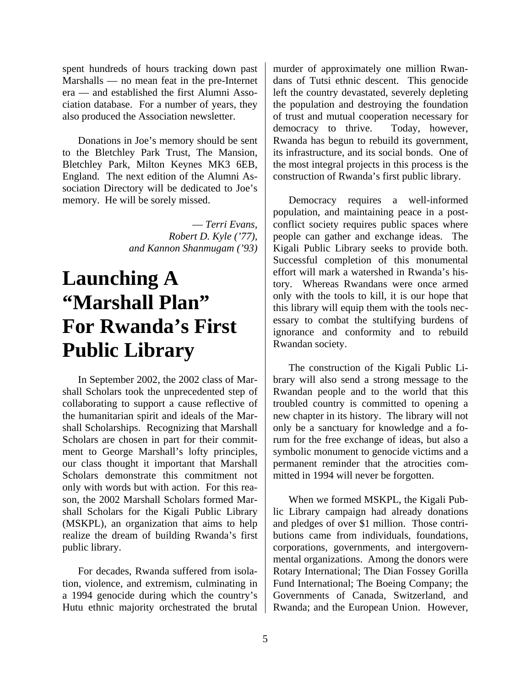spent hundreds of hours tracking down past Marshalls — no mean feat in the pre-Internet era — and established the first Alumni Association database. For a number of years, they also produced the Association newsletter.

Donations in Joe's memory should be sent to the Bletchley Park Trust, The Mansion, Bletchley Park, Milton Keynes MK3 6EB, England. The next edition of the Alumni Association Directory will be dedicated to Joe's memory. He will be sorely missed.

> — *Terri Evans, Robert D. Kyle ('77), and Kannon Shanmugam ('93)*

### **Launching A "Marshall Plan" For Rwanda's First Public Library**

In September 2002, the 2002 class of Marshall Scholars took the unprecedented step of collaborating to support a cause reflective of the humanitarian spirit and ideals of the Marshall Scholarships. Recognizing that Marshall Scholars are chosen in part for their commitment to George Marshall's lofty principles, our class thought it important that Marshall Scholars demonstrate this commitment not only with words but with action. For this reason, the 2002 Marshall Scholars formed Marshall Scholars for the Kigali Public Library (MSKPL), an organization that aims to help realize the dream of building Rwanda's first public library.

For decades, Rwanda suffered from isolation, violence, and extremism, culminating in a 1994 genocide during which the country's Hutu ethnic majority orchestrated the brutal murder of approximately one million Rwandans of Tutsi ethnic descent. This genocide left the country devastated, severely depleting the population and destroying the foundation of trust and mutual cooperation necessary for democracy to thrive. Today, however, Rwanda has begun to rebuild its government, its infrastructure, and its social bonds. One of the most integral projects in this process is the construction of Rwanda's first public library.

Democracy requires a well-informed population, and maintaining peace in a postconflict society requires public spaces where people can gather and exchange ideas. The Kigali Public Library seeks to provide both. Successful completion of this monumental effort will mark a watershed in Rwanda's history. Whereas Rwandans were once armed only with the tools to kill, it is our hope that this library will equip them with the tools necessary to combat the stultifying burdens of ignorance and conformity and to rebuild Rwandan society.

The construction of the Kigali Public Library will also send a strong message to the Rwandan people and to the world that this troubled country is committed to opening a new chapter in its history. The library will not only be a sanctuary for knowledge and a forum for the free exchange of ideas, but also a symbolic monument to genocide victims and a permanent reminder that the atrocities committed in 1994 will never be forgotten.

When we formed MSKPL, the Kigali Public Library campaign had already donations and pledges of over \$1 million. Those contributions came from individuals, foundations, corporations, governments, and intergovernmental organizations. Among the donors were Rotary International; The Dian Fossey Gorilla Fund International; The Boeing Company; the Governments of Canada, Switzerland, and Rwanda; and the European Union. However,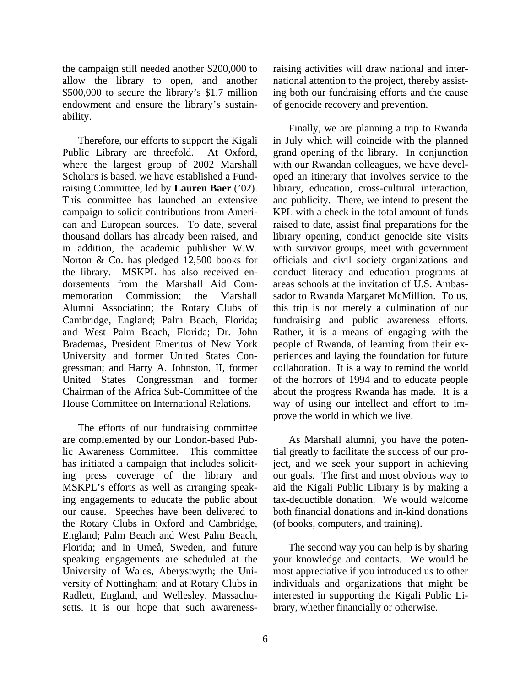the campaign still needed another \$200,000 to allow the library to open, and another \$500,000 to secure the library's \$1.7 million endowment and ensure the library's sustainability.

Therefore, our efforts to support the Kigali Public Library are threefold. At Oxford, where the largest group of 2002 Marshall Scholars is based, we have established a Fundraising Committee, led by **Lauren Baer** ('02). This committee has launched an extensive campaign to solicit contributions from American and European sources. To date, several thousand dollars has already been raised, and in addition, the academic publisher W.W. Norton & Co. has pledged 12,500 books for the library. MSKPL has also received endorsements from the Marshall Aid Commemoration Commission; the Marshall Alumni Association; the Rotary Clubs of Cambridge, England; Palm Beach, Florida; and West Palm Beach, Florida; Dr. John Brademas, President Emeritus of New York University and former United States Congressman; and Harry A. Johnston, II, former United States Congressman and former Chairman of the Africa Sub-Committee of the House Committee on International Relations.

The efforts of our fundraising committee are complemented by our London-based Public Awareness Committee. This committee has initiated a campaign that includes soliciting press coverage of the library and MSKPL's efforts as well as arranging speaking engagements to educate the public about our cause. Speeches have been delivered to the Rotary Clubs in Oxford and Cambridge, England; Palm Beach and West Palm Beach, Florida; and in Umeå, Sweden, and future speaking engagements are scheduled at the University of Wales, Aberystwyth; the University of Nottingham; and at Rotary Clubs in Radlett, England, and Wellesley, Massachusetts. It is our hope that such awarenessraising activities will draw national and international attention to the project, thereby assisting both our fundraising efforts and the cause of genocide recovery and prevention.

Finally, we are planning a trip to Rwanda in July which will coincide with the planned grand opening of the library. In conjunction with our Rwandan colleagues, we have developed an itinerary that involves service to the library, education, cross-cultural interaction, and publicity. There, we intend to present the KPL with a check in the total amount of funds raised to date, assist final preparations for the library opening, conduct genocide site visits with survivor groups, meet with government officials and civil society organizations and conduct literacy and education programs at areas schools at the invitation of U.S. Ambassador to Rwanda Margaret McMillion. To us, this trip is not merely a culmination of our fundraising and public awareness efforts. Rather, it is a means of engaging with the people of Rwanda, of learning from their experiences and laying the foundation for future collaboration. It is a way to remind the world of the horrors of 1994 and to educate people about the progress Rwanda has made. It is a way of using our intellect and effort to improve the world in which we live.

As Marshall alumni, you have the potential greatly to facilitate the success of our project, and we seek your support in achieving our goals. The first and most obvious way to aid the Kigali Public Library is by making a tax-deductible donation. We would welcome both financial donations and in-kind donations (of books, computers, and training).

The second way you can help is by sharing your knowledge and contacts. We would be most appreciative if you introduced us to other individuals and organizations that might be interested in supporting the Kigali Public Library, whether financially or otherwise.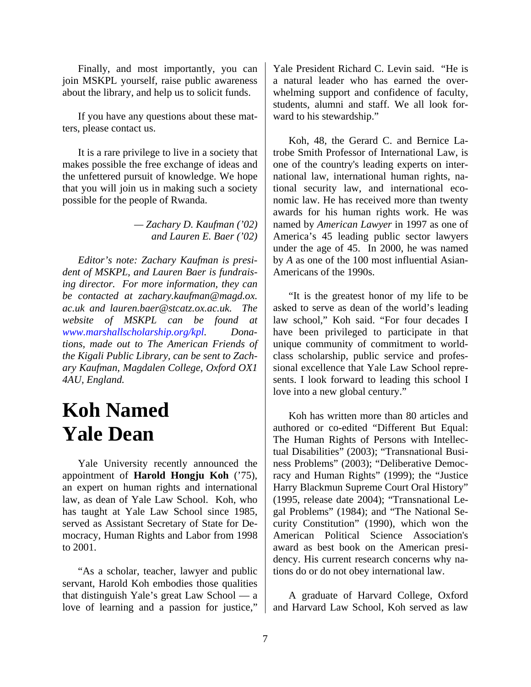Finally, and most importantly, you can join MSKPL yourself, raise public awareness about the library, and help us to solicit funds.

If you have any questions about these matters, please contact us.

It is a rare privilege to live in a society that makes possible the free exchange of ideas and the unfettered pursuit of knowledge. We hope that you will join us in making such a society possible for the people of Rwanda.

> *— Zachary D. Kaufman ('02) and Lauren E. Baer ('02)*

*Editor's note: Zachary Kaufman is president of MSKPL, and Lauren Baer is fundraising director. For more information, they can be contacted at zachary.kaufman@magd.ox. ac.uk and lauren.baer@stcatz.ox.ac.uk. The website of MSKPL can be found at www.marshallscholarship.org/kpl. Donations, made out to The American Friends of the Kigali Public Library, can be sent to Zachary Kaufman, Magdalen College, Oxford OX1 4AU, England.* 

### **Koh Named Yale Dean**

Yale University recently announced the appointment of **Harold Hongju Koh** ('75), an expert on human rights and international law, as dean of Yale Law School. Koh, who has taught at Yale Law School since 1985, served as Assistant Secretary of State for Democracy, Human Rights and Labor from 1998 to 2001.

"As a scholar, teacher, lawyer and public servant, Harold Koh embodies those qualities that distinguish Yale's great Law School — a love of learning and a passion for justice,"

Yale President Richard C. Levin said. "He is a natural leader who has earned the overwhelming support and confidence of faculty, students, alumni and staff. We all look forward to his stewardship."

Koh, 48, the Gerard C. and Bernice Latrobe Smith Professor of International Law, is one of the country's leading experts on international law, international human rights, national security law, and international economic law. He has received more than twenty awards for his human rights work. He was named by *American Lawyer* in 1997 as one of America's 45 leading public sector lawyers under the age of 45. In 2000, he was named by *A* as one of the 100 most influential Asian-Americans of the 1990s.

"It is the greatest honor of my life to be asked to serve as dean of the world's leading law school," Koh said. "For four decades I have been privileged to participate in that unique community of commitment to worldclass scholarship, public service and professional excellence that Yale Law School represents. I look forward to leading this school I love into a new global century."

Koh has written more than 80 articles and authored or co-edited "Different But Equal: The Human Rights of Persons with Intellectual Disabilities" (2003); "Transnational Business Problems" (2003); "Deliberative Democracy and Human Rights" (1999); the "Justice Harry Blackmun Supreme Court Oral History" (1995, release date 2004); "Transnational Legal Problems" (1984); and "The National Security Constitution" (1990), which won the American Political Science Association's award as best book on the American presidency. His current research concerns why nations do or do not obey international law.

A graduate of Harvard College, Oxford and Harvard Law School, Koh served as law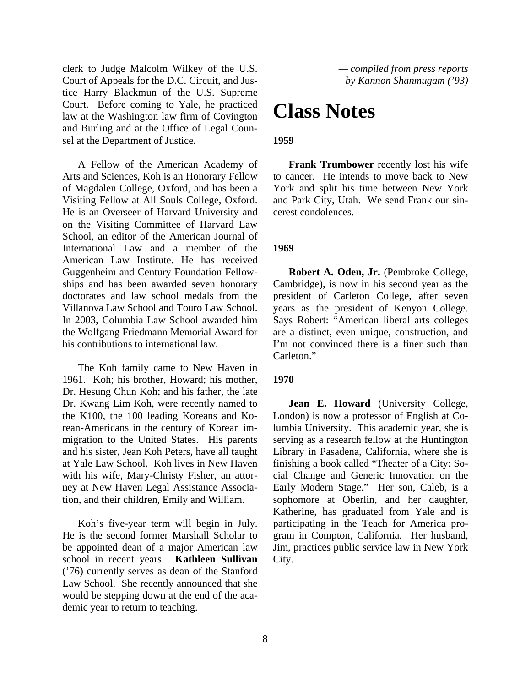clerk to Judge Malcolm Wilkey of the U.S. Court of Appeals for the D.C. Circuit, and Justice Harry Blackmun of the U.S. Supreme Court. Before coming to Yale, he practiced law at the Washington law firm of Covington and Burling and at the Office of Legal Counsel at the Department of Justice.

A Fellow of the American Academy of Arts and Sciences, Koh is an Honorary Fellow of Magdalen College, Oxford, and has been a Visiting Fellow at All Souls College, Oxford. He is an Overseer of Harvard University and on the Visiting Committee of Harvard Law School, an editor of the American Journal of International Law and a member of the American Law Institute. He has received Guggenheim and Century Foundation Fellowships and has been awarded seven honorary doctorates and law school medals from the Villanova Law School and Touro Law School. In 2003, Columbia Law School awarded him the Wolfgang Friedmann Memorial Award for his contributions to international law.

The Koh family came to New Haven in 1961. Koh; his brother, Howard; his mother, Dr. Hesung Chun Koh; and his father, the late Dr. Kwang Lim Koh, were recently named to the K100, the 100 leading Koreans and Korean-Americans in the century of Korean immigration to the United States. His parents and his sister, Jean Koh Peters, have all taught at Yale Law School. Koh lives in New Haven with his wife, Mary-Christy Fisher, an attorney at New Haven Legal Assistance Association, and their children, Emily and William.

Koh's five-year term will begin in July. He is the second former Marshall Scholar to be appointed dean of a major American law school in recent years. **Kathleen Sullivan** ('76) currently serves as dean of the Stanford Law School. She recently announced that she would be stepping down at the end of the academic year to return to teaching.

*— compiled from press reports by Kannon Shanmugam ('93)* 

### **Class Notes**

#### **1959**

**Frank Trumbower** recently lost his wife to cancer. He intends to move back to New York and split his time between New York and Park City, Utah. We send Frank our sincerest condolences.

#### **1969**

**Robert A. Oden, Jr.** (Pembroke College, Cambridge), is now in his second year as the president of Carleton College, after seven years as the president of Kenyon College. Says Robert: "American liberal arts colleges are a distinct, even unique, construction, and I'm not convinced there is a finer such than Carleton."

#### **1970**

**Jean E. Howard** (University College, London) is now a professor of English at Columbia University. This academic year, she is serving as a research fellow at the Huntington Library in Pasadena, California, where she is finishing a book called "Theater of a City: Social Change and Generic Innovation on the Early Modern Stage." Her son, Caleb, is a sophomore at Oberlin, and her daughter, Katherine, has graduated from Yale and is participating in the Teach for America program in Compton, California. Her husband, Jim, practices public service law in New York City.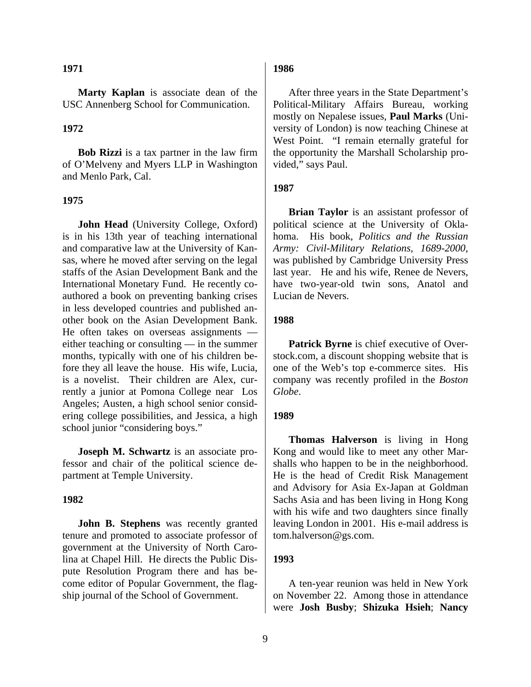#### **1971**

**Marty Kaplan** is associate dean of the USC Annenberg School for Communication.

#### **1972**

**Bob Rizzi** is a tax partner in the law firm of O'Melveny and Myers LLP in Washington and Menlo Park, Cal.

#### **1975**

**John Head** (University College, Oxford) is in his 13th year of teaching international and comparative law at the University of Kansas, where he moved after serving on the legal staffs of the Asian Development Bank and the International Monetary Fund. He recently coauthored a book on preventing banking crises in less developed countries and published another book on the Asian Development Bank. He often takes on overseas assignments either teaching or consulting — in the summer months, typically with one of his children before they all leave the house. His wife, Lucia, is a novelist. Their children are Alex, currently a junior at Pomona College near Los Angeles; Austen, a high school senior considering college possibilities, and Jessica, a high school junior "considering boys."

**Joseph M. Schwartz** is an associate professor and chair of the political science department at Temple University.

#### **1982**

**John B. Stephens** was recently granted tenure and promoted to associate professor of government at the University of North Carolina at Chapel Hill. He directs the Public Dispute Resolution Program there and has become editor of Popular Government, the flagship journal of the School of Government.

9

#### **1986**

After three years in the State Department's Political-Military Affairs Bureau, working mostly on Nepalese issues, **Paul Marks** (University of London) is now teaching Chinese at West Point. "I remain eternally grateful for the opportunity the Marshall Scholarship provided," says Paul.

#### **1987**

**Brian Taylor** is an assistant professor of political science at the University of Oklahoma. His book, *Politics and the Russian Army: Civil-Military Relations, 1689-2000*, was published by Cambridge University Press last year. He and his wife, Renee de Nevers, have two-year-old twin sons, Anatol and Lucian de Nevers.

#### **1988**

**Patrick Byrne** is chief executive of Overstock.com, a discount shopping website that is one of the Web's top e-commerce sites. His company was recently profiled in the *Boston Globe*.

#### **1989**

**Thomas Halverson** is living in Hong Kong and would like to meet any other Marshalls who happen to be in the neighborhood. He is the head of Credit Risk Management and Advisory for Asia Ex-Japan at Goldman Sachs Asia and has been living in Hong Kong with his wife and two daughters since finally leaving London in 2001. His e-mail address is tom.halverson@gs.com.

#### **1993**

A ten-year reunion was held in New York on November 22. Among those in attendance were **Josh Busby**; **Shizuka Hsieh**; **Nancy**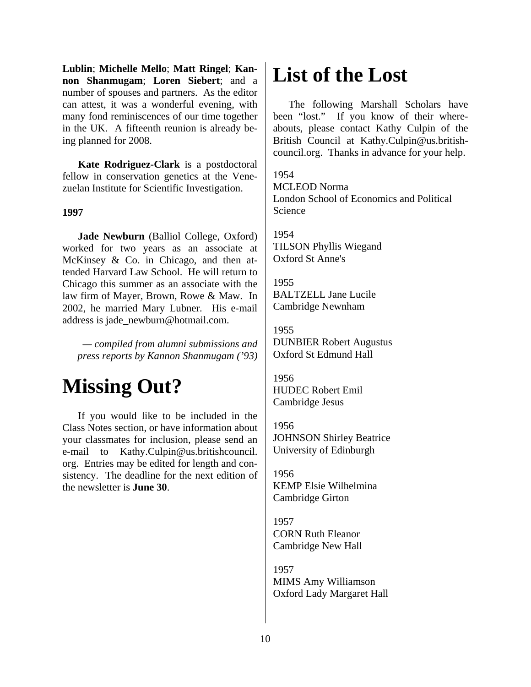**Lublin**; **Michelle Mello**; **Matt Ringel**; **Kannon Shanmugam**; **Loren Siebert**; and a number of spouses and partners. As the editor can attest, it was a wonderful evening, with many fond reminiscences of our time together in the UK. A fifteenth reunion is already being planned for 2008.

**Kate Rodriguez-Clark** is a postdoctoral fellow in conservation genetics at the Venezuelan Institute for Scientific Investigation.

#### **1997**

**Jade Newburn** (Balliol College, Oxford) worked for two years as an associate at McKinsey & Co. in Chicago, and then attended Harvard Law School. He will return to Chicago this summer as an associate with the law firm of Mayer, Brown, Rowe & Maw. In 2002, he married Mary Lubner. His e-mail address is jade\_newburn@hotmail.com.

*— compiled from alumni submissions and press reports by Kannon Shanmugam ('93)* 

### **Missing Out?**

If you would like to be included in the Class Notes section, or have information about your classmates for inclusion, please send an e-mail to Kathy.Culpin@us.britishcouncil. org. Entries may be edited for length and consistency. The deadline for the next edition of the newsletter is **June 30**.

### **List of the Lost**

The following Marshall Scholars have been "lost." If you know of their whereabouts, please contact Kathy Culpin of the British Council at Kathy.Culpin@us.britishcouncil.org. Thanks in advance for your help.

1954 MCLEOD Norma London School of Economics and Political Science

1954 TILSON Phyllis Wiegand Oxford St Anne's

1955 BALTZELL Jane Lucile Cambridge Newnham

1955 DUNBIER Robert Augustus Oxford St Edmund Hall

1956 HUDEC Robert Emil Cambridge Jesus

1956 JOHNSON Shirley Beatrice University of Edinburgh

1956 KEMP Elsie Wilhelmina Cambridge Girton

1957 CORN Ruth Eleanor Cambridge New Hall

1957 MIMS Amy Williamson Oxford Lady Margaret Hall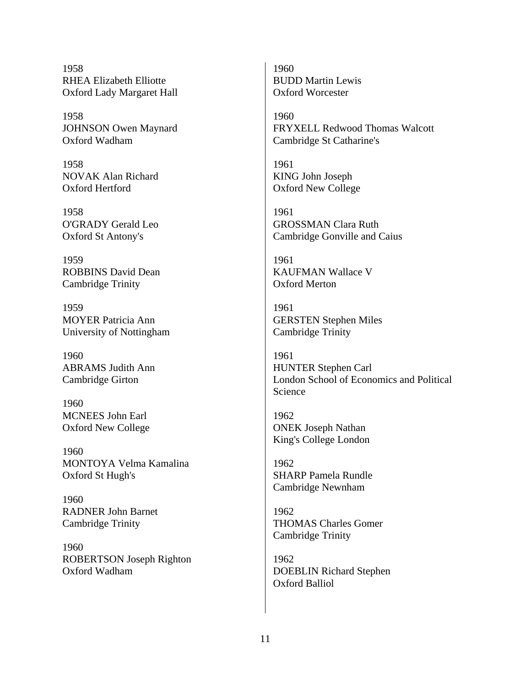1958 RHEA Elizabeth Elliotte Oxford Lady Margaret Hall

1958 JOHNSON Owen Maynard Oxford Wadham

1958 NOVAK Alan Richard Oxford Hertford

1958 O'GRADY Gerald Leo Oxford St Antony's

1959 ROBBINS David Dean Cambridge Trinity

1959 MOYER Patricia Ann University of Nottingham

1960 ABRAMS Judith Ann Cambridge Girton

1960 MCNEES John Earl Oxford New College

1960 MONTOYA Velma Kamalina Oxford St Hugh's

1960 RADNER John Barnet Cambridge Trinity

1960 ROBERTSON Joseph Righton Oxford Wadham

1960 BUDD Martin Lewis Oxford Worcester

1960 FRYXELL Redwood Thomas Walcott Cambridge St Catharine's

1961 KING John Joseph Oxford New College

1961 GROSSMAN Clara Ruth Cambridge Gonville and Caius

1961 KAUFMAN Wallace V Oxford Merton

1961 GERSTEN Stephen Miles Cambridge Trinity

1961 HUNTER Stephen Carl London School of Economics and Political Science

1962 ONEK Joseph Nathan King's College London

1962 SHARP Pamela Rundle Cambridge Newnham

1962 THOMAS Charles Gomer Cambridge Trinity

1962 DOEBLIN Richard Stephen Oxford Balliol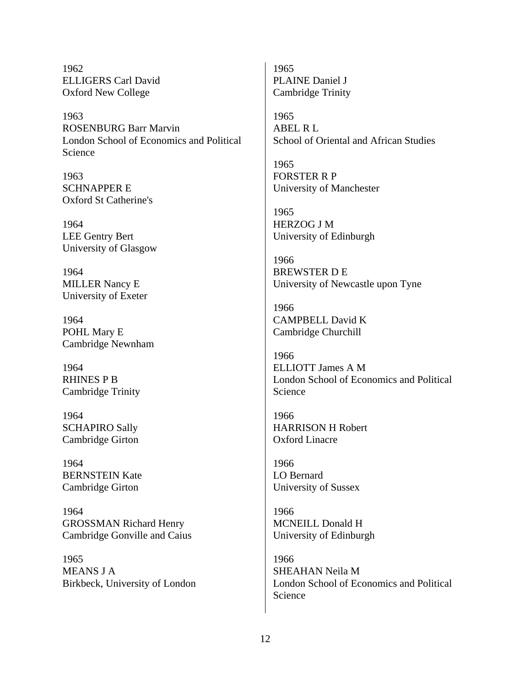1962 ELLIGERS Carl David Oxford New College

1963 ROSENBURG Barr Marvin London School of Economics and Political Science

1963 SCHNAPPER E Oxford St Catherine's

1964 LEE Gentry Bert University of Glasgow

1964 MILLER Nancy E University of Exeter

1964 POHL Mary E Cambridge Newnham

1964 RHINES P B Cambridge Trinity

1964 SCHAPIRO Sally Cambridge Girton

1964 BERNSTEIN Kate Cambridge Girton

1964 GROSSMAN Richard Henry Cambridge Gonville and Caius

1965 MEANS J A Birkbeck, University of London

1965 PLAINE Daniel J Cambridge Trinity

1965 ABEL R L School of Oriental and African Studies

1965 FORSTER R P University of Manchester

1965 HERZOG J M University of Edinburgh

1966 BREWSTER D E University of Newcastle upon Tyne

1966 CAMPBELL David K Cambridge Churchill

1966 ELLIOTT James A M London School of Economics and Political Science

1966 HARRISON H Robert Oxford Linacre

1966 LO Bernard University of Sussex

1966 MCNEILL Donald H University of Edinburgh

1966 SHEAHAN Neila M London School of Economics and Political Science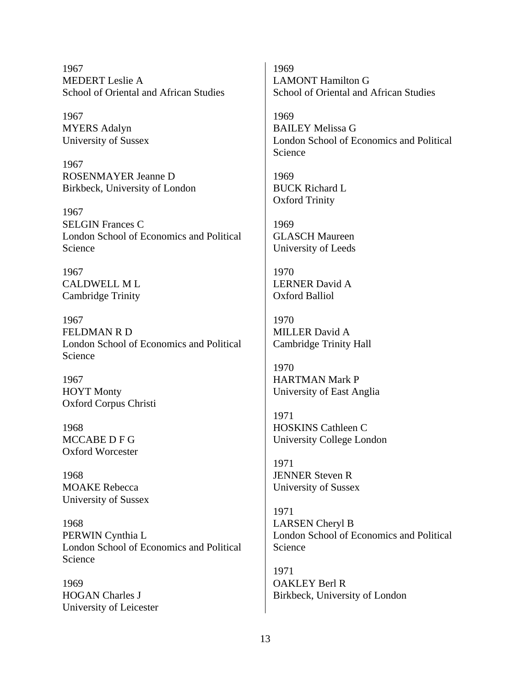1967 MEDERT Leslie A School of Oriental and African Studies

1967 MYERS Adalyn University of Sussex

1967 ROSENMAYER Jeanne D Birkbeck, University of London

1967 SELGIN Frances C London School of Economics and Political Science

1967 CALDWELL M L Cambridge Trinity

1967 FELDMAN R D London School of Economics and Political Science

1967 HOYT Monty Oxford Corpus Christi

1968 MCCABE D F G Oxford Worcester

1968 MOAKE Rebecca University of Sussex

1968 PERWIN Cynthia L London School of Economics and Political Science

1969 HOGAN Charles J University of Leicester

1969 LAMONT Hamilton G School of Oriental and African Studies

1969 BAILEY Melissa G London School of Economics and Political Science

1969 BUCK Richard L Oxford Trinity

1969 GLASCH Maureen University of Leeds

1970 LERNER David A Oxford Balliol

1970 MILLER David A Cambridge Trinity Hall

1970 HARTMAN Mark P University of East Anglia

1971 HOSKINS Cathleen C University College London

1971 JENNER Steven R University of Sussex

1971 LARSEN Cheryl B London School of Economics and Political Science

1971 OAKLEY Berl R Birkbeck, University of London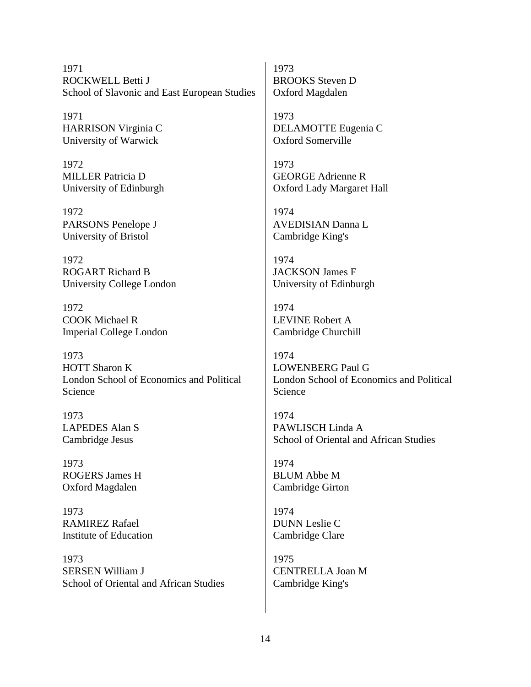1971 ROCKWELL Betti J School of Slavonic and East European Studies

1971 HARRISON Virginia C University of Warwick

1972 MILLER Patricia D University of Edinburgh

1972 PARSONS Penelope J University of Bristol

1972 ROGART Richard B University College London

1972 COOK Michael R Imperial College London

1973 HOTT Sharon K London School of Economics and Political Science

1973 LAPEDES Alan S Cambridge Jesus

1973 ROGERS James H Oxford Magdalen

1973 RAMIREZ Rafael Institute of Education

1973 SERSEN William J School of Oriental and African Studies

1973 BROOKS Steven D Oxford Magdalen

1973 DELAMOTTE Eugenia C Oxford Somerville

1973 GEORGE Adrienne R Oxford Lady Margaret Hall

1974 AVEDISIAN Danna L Cambridge King's

1974 JACKSON James F University of Edinburgh

1974 LEVINE Robert A Cambridge Churchill

1974 LOWENBERG Paul G London School of Economics and Political Science

1974 PAWLISCH Linda A School of Oriental and African Studies

1974 BLUM Abbe M Cambridge Girton

1974 DUNN Leslie C Cambridge Clare

1975 CENTRELLA Joan M Cambridge King's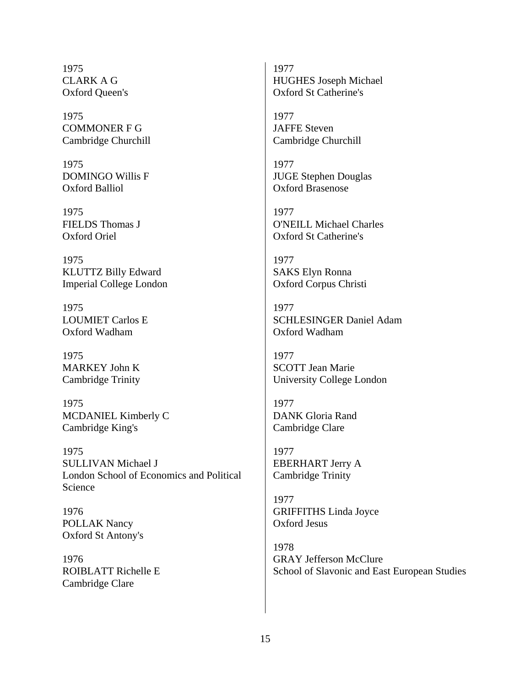1975 CLARK A G Oxford Queen's

1975 COMMONER F G Cambridge Churchill

1975 DOMINGO Willis F Oxford Balliol

1975 FIELDS Thomas J Oxford Oriel

1975 KLUTTZ Billy Edward Imperial College London

1975 LOUMIET Carlos E Oxford Wadham

1975 MARKEY John K Cambridge Trinity

1975 MCDANIEL Kimberly C Cambridge King's

1975 SULLIVAN Michael J London School of Economics and Political Science

1976 POLLAK Nancy Oxford St Antony's

1976 ROIBLATT Richelle E Cambridge Clare

1977 HUGHES Joseph Michael Oxford St Catherine's

1977 JAFFE Steven Cambridge Churchill

1977 JUGE Stephen Douglas Oxford Brasenose

1977 O'NEILL Michael Charles Oxford St Catherine's

1977 SAKS Elyn Ronna Oxford Corpus Christi

1977 SCHLESINGER Daniel Adam Oxford Wadham

1977 SCOTT Jean Marie University College London

1977 DANK Gloria Rand Cambridge Clare

1977 EBERHART Jerry A Cambridge Trinity

1977 GRIFFITHS Linda Joyce Oxford Jesus

1978 GRAY Jefferson McClure School of Slavonic and East European Studies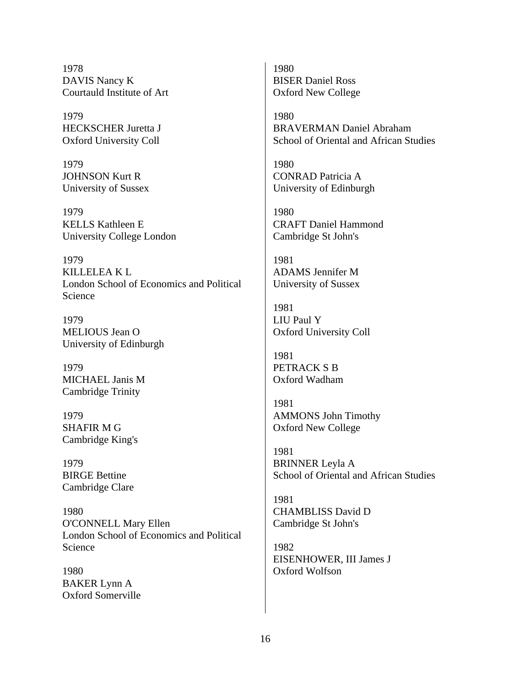1978 DAVIS Nancy K Courtauld Institute of Art

1979 HECKSCHER Juretta J Oxford University Coll

1979 JOHNSON Kurt R University of Sussex

1979 KELLS Kathleen E University College London

1979 KILLELEA K L London School of Economics and Political Science

1979 MELIOUS Jean O University of Edinburgh

1979 MICHAEL Janis M Cambridge Trinity

1979 SHAFIR M G Cambridge King's

1979 BIRGE Bettine Cambridge Clare

1980 O'CONNELL Mary Ellen London School of Economics and Political Science

1980 BAKER Lynn A Oxford Somerville

1980 BISER Daniel Ross Oxford New College

1980 BRAVERMAN Daniel Abraham School of Oriental and African Studies

1980 CONRAD Patricia A University of Edinburgh

1980 CRAFT Daniel Hammond Cambridge St John's

1981 ADAMS Jennifer M University of Sussex

1981 LIU Paul Y Oxford University Coll

1981 PETRACK S B Oxford Wadham

1981 AMMONS John Timothy Oxford New College

1981 BRINNER Leyla A School of Oriental and African Studies

1981 CHAMBLISS David D Cambridge St John's

1982 EISENHOWER, III James J Oxford Wolfson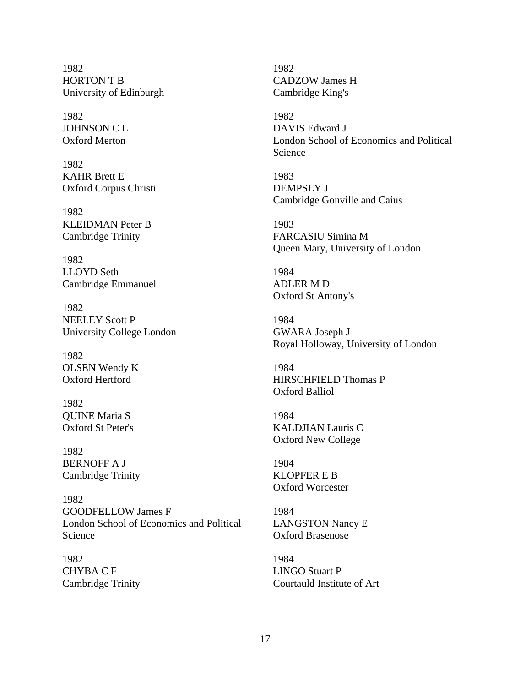1982 HORTON T B University of Edinburgh

1982 JOHNSON C L Oxford Merton

1982 KAHR Brett E Oxford Corpus Christi

1982 KLEIDMAN Peter B Cambridge Trinity

1982 LLOYD Seth Cambridge Emmanuel

1982 NEELEY Scott P University College London

1982 OLSEN Wendy K Oxford Hertford

1982 QUINE Maria S Oxford St Peter's

1982 BERNOFF A J Cambridge Trinity

1982 GOODFELLOW James F London School of Economics and Political Science

1982 CHYBA C F Cambridge Trinity

1982 CADZOW James H Cambridge King's

1982 DAVIS Edward J London School of Economics and Political Science

1983 DEMPSEY J Cambridge Gonville and Caius

1983 FARCASIU Simina M Queen Mary, University of London

1984 ADLER M D Oxford St Antony's

1984 GWARA Joseph J Royal Holloway, University of London

1984 HIRSCHFIELD Thomas P Oxford Balliol

1984 KALDJIAN Lauris C Oxford New College

1984 KLOPFER E B Oxford Worcester

1984 LANGSTON Nancy E Oxford Brasenose

1984 LINGO Stuart P Courtauld Institute of Art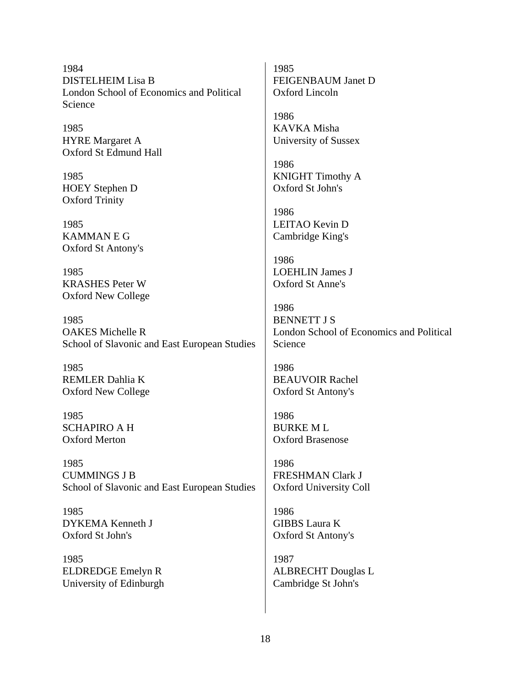1984 DISTELHEIM Lisa B London School of Economics and Political Science

1985 HYRE Margaret A Oxford St Edmund Hall

1985 HOEY Stephen D Oxford Trinity

1985 KAMMAN E G Oxford St Antony's

1985 KRASHES Peter W Oxford New College

1985 OAKES Michelle R School of Slavonic and East European Studies

1985 REMLER Dahlia K Oxford New College

1985 SCHAPIRO A H Oxford Merton

1985 CUMMINGS J B School of Slavonic and East European Studies

1985 DYKEMA Kenneth J Oxford St John's

1985 ELDREDGE Emelyn R University of Edinburgh

1985 FEIGENBAUM Janet D Oxford Lincoln

1986 KAVKA Misha University of Sussex

1986 KNIGHT Timothy A Oxford St John's

1986 LEITAO Kevin D Cambridge King's

1986 LOEHLIN James J Oxford St Anne's

1986 BENNETT J S London School of Economics and Political Science

1986 BEAUVOIR Rachel Oxford St Antony's

1986 BURKE M L Oxford Brasenose

1986 FRESHMAN Clark J Oxford University Coll

1986 GIBBS Laura K Oxford St Antony's

1987 ALBRECHT Douglas L Cambridge St John's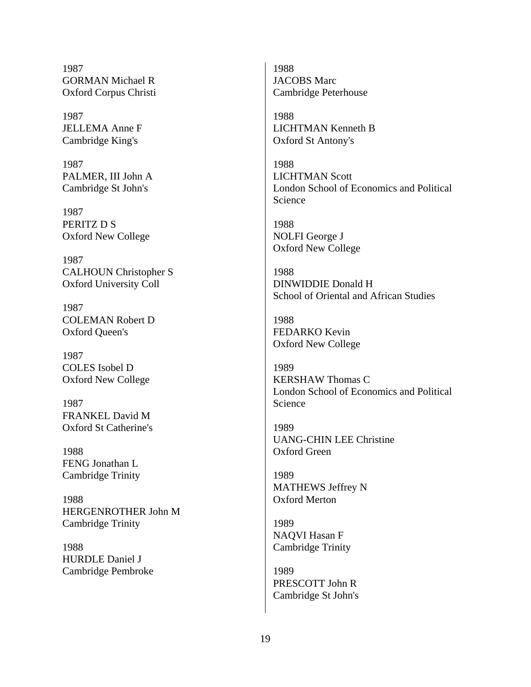1987 GORMAN Michael R Oxford Corpus Christi

1987 JELLEMA Anne F Cambridge King's

1987 PALMER, III John A Cambridge St John's

1987 PERITZ D S Oxford New College

1987 CALHOUN Christopher S Oxford University Coll

1987 COLEMAN Robert D Oxford Queen's

1987 COLES Isobel D Oxford New College

1987 FRANKEL David M Oxford St Catherine's

1988 FENG Jonathan L Cambridge Trinity

1988 HERGENROTHER John M Cambridge Trinity

1988 HURDLE Daniel J Cambridge Pembroke

1988 JACOBS Marc Cambridge Peterhouse

1988 LICHTMAN Kenneth B Oxford St Antony's

1988 LICHTMAN Scott London School of Economics and Political Science

1988 NOLFI George J Oxford New College

1988 DINWIDDIE Donald H School of Oriental and African Studies

1988 FEDARKO Kevin Oxford New College

1989 KERSHAW Thomas C London School of Economics and Political Science

1989 UANG-CHIN LEE Christine Oxford Green

1989 MATHEWS Jeffrey N Oxford Merton

1989 NAQVI Hasan F Cambridge Trinity

1989 PRESCOTT John R Cambridge St John's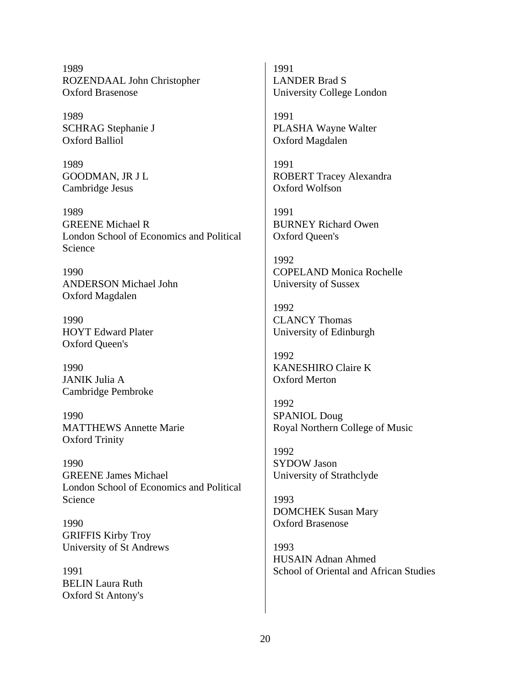1989 ROZENDAAL John Christopher Oxford Brasenose

1989 SCHRAG Stephanie J Oxford Balliol

1989 GOODMAN, JR J L Cambridge Jesus

1989 GREENE Michael R London School of Economics and Political Science

1990 ANDERSON Michael John Oxford Magdalen

1990 HOYT Edward Plater Oxford Queen's

1990 JANIK Julia A Cambridge Pembroke

1990 MATTHEWS Annette Marie Oxford Trinity

1990 GREENE James Michael London School of Economics and Political Science

1990 GRIFFIS Kirby Troy University of St Andrews

1991 BELIN Laura Ruth Oxford St Antony's

1991 LANDER Brad S University College London

1991 PLASHA Wayne Walter Oxford Magdalen

1991 ROBERT Tracey Alexandra Oxford Wolfson

1991 BURNEY Richard Owen Oxford Queen's

1992 COPELAND Monica Rochelle University of Sussex

1992 CLANCY Thomas University of Edinburgh

1992 KANESHIRO Claire K Oxford Merton

1992 SPANIOL Doug Royal Northern College of Music

1992 SYDOW Jason University of Strathclyde

1993 DOMCHEK Susan Mary Oxford Brasenose

1993 HUSAIN Adnan Ahmed School of Oriental and African Studies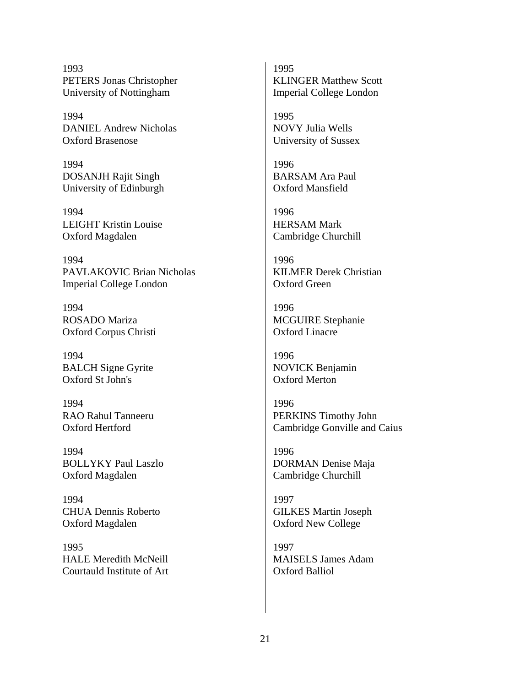1993 PETERS Jonas Christopher University of Nottingham

1994 DANIEL Andrew Nicholas Oxford Brasenose

1994 DOSANJH Rajit Singh University of Edinburgh

1994 LEIGHT Kristin Louise Oxford Magdalen

1994 PAVLAKOVIC Brian Nicholas Imperial College London

1994 ROSADO Mariza Oxford Corpus Christi

1994 BALCH Signe Gyrite Oxford St John's

1994 RAO Rahul Tanneeru Oxford Hertford

1994 BOLLYKY Paul Laszlo Oxford Magdalen

1994 CHUA Dennis Roberto Oxford Magdalen

1995 HALE Meredith McNeill Courtauld Institute of Art

1995 KLINGER Matthew Scott Imperial College London

1995 NOVY Julia Wells University of Sussex

1996 BARSAM Ara Paul Oxford Mansfield

1996 HERSAM Mark Cambridge Churchill

1996 KILMER Derek Christian Oxford Green

1996 MCGUIRE Stephanie Oxford Linacre

1996 NOVICK Benjamin Oxford Merton

1996 PERKINS Timothy John Cambridge Gonville and Caius

1996 DORMAN Denise Maja Cambridge Churchill

1997 GILKES Martin Joseph Oxford New College

1997 MAISELS James Adam Oxford Balliol